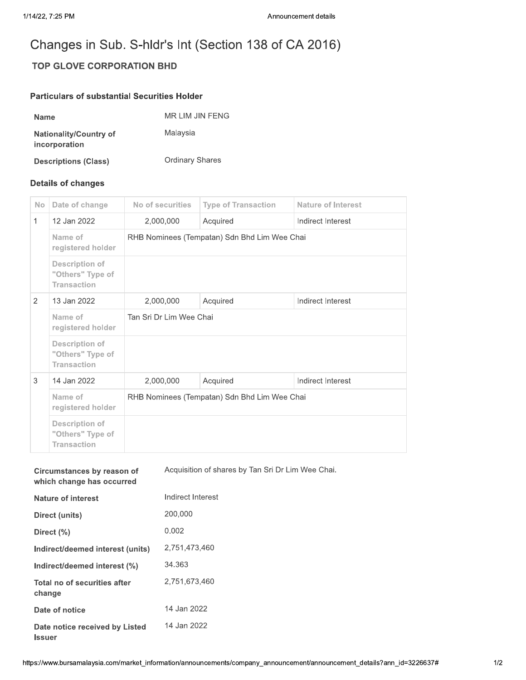## Changes in Sub. S-hldr's Int (Section 138 of CA 2016)

## **TOP GLOVE CORPORATION BHD**

## **Particulars of substantial Securities Holder**

| <b>Name</b>                                    | MR LIM JIN FENG        |
|------------------------------------------------|------------------------|
| <b>Nationality/Country of</b><br>incorporation | Malaysia               |
| <b>Descriptions (Class)</b>                    | <b>Ordinary Shares</b> |

## **Details of changes**

**Issuer** 

| <b>No</b>      | Date of change                                                  | No of securities                             | <b>Type of Transaction</b> | Nature of Interest |  |
|----------------|-----------------------------------------------------------------|----------------------------------------------|----------------------------|--------------------|--|
| $\mathbf{1}$   | 12 Jan 2022                                                     | 2,000,000                                    | Acquired                   | Indirect Interest  |  |
|                | Name of<br>registered holder                                    | RHB Nominees (Tempatan) Sdn Bhd Lim Wee Chai |                            |                    |  |
|                | <b>Description of</b><br>"Others" Type of<br><b>Transaction</b> |                                              |                            |                    |  |
| $\overline{2}$ | 13 Jan 2022                                                     | 2,000,000                                    | Acquired                   | Indirect Interest  |  |
|                | Name of<br>registered holder                                    | Tan Sri Dr Lim Wee Chai                      |                            |                    |  |
|                | <b>Description of</b><br>"Others" Type of<br><b>Transaction</b> |                                              |                            |                    |  |
| 3              | 14 Jan 2022                                                     | 2,000,000                                    | Acquired                   | Indirect Interest  |  |
|                | Name of<br>registered holder                                    | RHB Nominees (Tempatan) Sdn Bhd Lim Wee Chai |                            |                    |  |
|                | <b>Description of</b><br>"Others" Type of<br><b>Transaction</b> |                                              |                            |                    |  |

| Circumstances by reason of<br>which change has occurred | Acquisition of shares by Tan Sri Dr Lim Wee Chai. |
|---------------------------------------------------------|---------------------------------------------------|
| <b>Nature of interest</b>                               | Indirect Interest                                 |
| Direct (units)                                          | 200,000                                           |
| Direct $(\% )$                                          | 0.002                                             |
| Indirect/deemed interest (units)                        | 2,751,473,460                                     |
| Indirect/deemed interest (%)                            | 34.363                                            |
| Total no of securities after<br>change                  | 2.751.673.460                                     |
| Date of notice                                          | 14 Jan 2022                                       |
| Date notice received by Listed                          | 14 Jan 2022                                       |